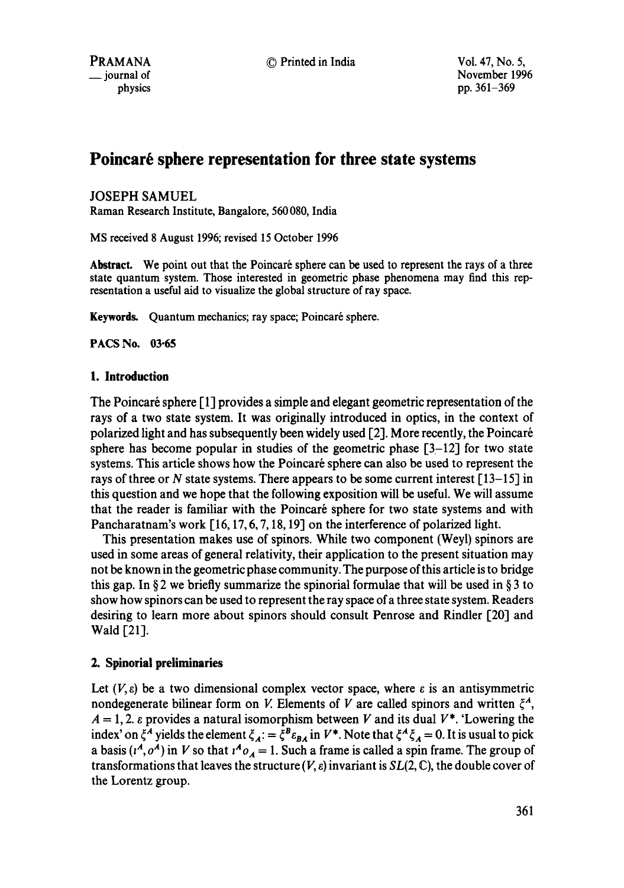# Poincaré sphere representation for three state systems

JOSEPH SAMUEL

Raman Research Institute, Bangalore, 560 080, India

MS received 8 August 1996; revised 15 October 1996

Abstract. We point out that the Poincaré sphere can be used to represent the rays of a three state quantum system. Those interested in geometric phase phenomena may find this representation a useful aid to visualize the global structure of ray space.

Keywords. Quantum mechanics; ray space; Poincaré sphere.

**PACS No. 03.65** 

## **1. Introduction**

The Poincaré sphere [1] provides a simple and elegant geometric representation of the rays of a two state system. It was originally introduced in optics, in the context of polarized light and has subsequently been widely used  $[2]$ . More recently, the Poincaré sphere has become popular in studies of the geometric phase  $[3-12]$  for two state systems. This article shows how the Poincaré sphere can also be used to represent the rays of three or N state systems. There appears to be some current interest  $[13-15]$  in this question and we hope that the following exposition will be useful. We will assume that the reader is familiar with the Poincaré sphere for two state systems and with Pancharatnam's work [16, 17, 6, 7, 18, 19] on the interference of polarized light.

This presentation makes use of spinors. While two component (Weyl) spinors are used in some areas of general relativity, their application to the present situation may not be known in the geometric phase community. The purpose of this article is to bridge this gap. In § 2 we briefly summarize the spinorial formulae that will be used in § 3 to show how spinors can be used to represent the ray space of a three state system. Readers desiring to learn more about spinors should consult Penrose and Rindler [20] and Wald [21].

## **2. Spinorial preliminaries**

Let  $(V, \varepsilon)$  be a two dimensional complex vector space, where  $\varepsilon$  is an antisymmetric nondegenerate bilinear form on V. Elements of V are called spinors and written  $\xi^A$ ,  $A = 1, 2$ .  $\varepsilon$  provides a natural isomorphism between V and its dual  $V^*$ . 'Lowering the index' on  $\xi^A$  yields the element  $\xi_A := \xi^B \varepsilon_{BA}$  in  $V^*$ . Note that  $\xi^A \xi_A = 0$ . It is usual to pick a basis  $(t^A, o^A)$  in V so that  $t^A o_A = 1$ . Such a frame is called a spin frame. The group of transformations that leaves the structure  $(V, \varepsilon)$  invariant is  $SL(2, \mathbb{C})$ , the double cover of the Lorentz group.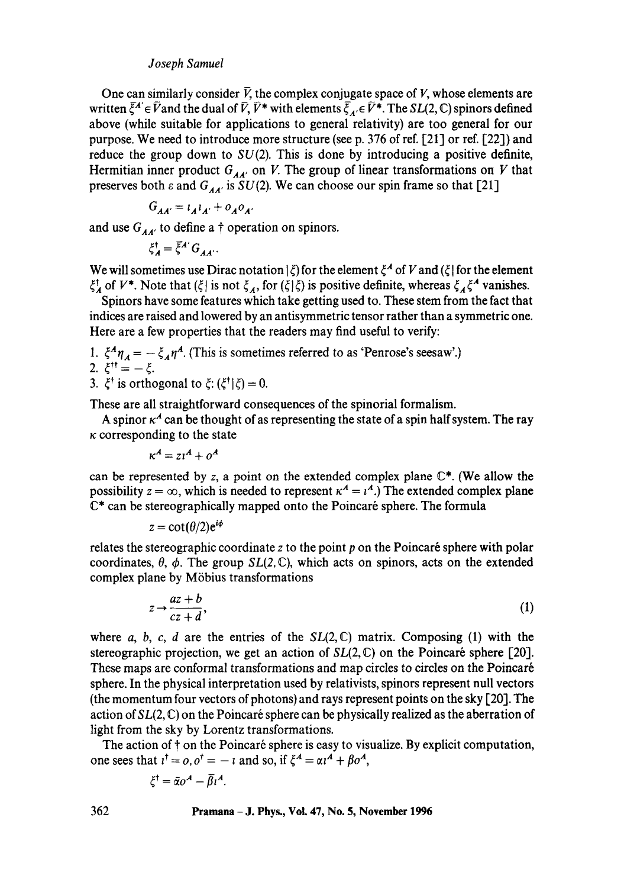## *Joseph Samuel*

One can similarly consider  $\bar{V}$ , the complex conjugate space of V, whose elements are written  $\bar{\zeta}^A \in \bar{V}$  and the dual of  $\bar{V}$ ,  $\bar{V}^*$  with elements  $\bar{\zeta}_A \in \bar{V}^*$ . The *SL*(2, C) spinors defined above (while suitable for applications to general relativity) are too general for our purpose. We need to introduce more structure (see p. 376 of ref. [21] or ref. [22]) and reduce the group down to  $SU(2)$ . This is done by introducing a positive definite, Hermitian inner product  $G_{AA'}$  on V. The group of linear transformations on V that preserves both  $\varepsilon$  and  $G_{AA'}$  is  $SU(2)$ . We can choose our spin frame so that [21]

$$
G_{AA'} = \iota_A \iota_{A'} + o_A o_{A'}
$$

and use  $G_{AA'}$  to define a  $\dagger$  operation on spinors.

$$
\xi_A^{\dagger} = \overline{\xi}^{A'} G_{AA'}.
$$

We will sometimes use Dirac notation  $|\xi\rangle$  for the element  $\xi^A$  of V and  $|\xi|$  for the element  $\xi^{\dagger}_A$  of  $V^*$ . Note that  $(\xi | \text{ is not } \xi_A, \text{ for } (\xi | \xi)$  is positive definite, whereas  $\xi^A_A \xi^A$  vanishes.

Spinors have some features which take getting used to. These stem from the fact that indices are raised and lowered by an antisymmetric tensor rather than a symmetric one. Here are a few properties that the readers may find useful to verify:

- 1.  $\xi^A \eta_A = -\xi_A \eta^A$ . (This is sometimes referred to as 'Penrose's seesaw'.) 2.  $\xi$ <sup>++</sup> =  $-\xi$ .
- 3.  $\xi^{\dagger}$  is orthogonal to  $\xi$ :  $(\xi^{\dagger}|\xi) = 0$ .

These are all straightforward consequences of the spinorial formalism.

A spinor  $\kappa^4$  can be thought of as representing the state of a spin half system. The ray  $\kappa$  corresponding to the state

$$
\kappa^A = z\iota^A + o^A
$$

can be represented by z, a point on the extended complex plane  $\mathbb{C}^*$ . (We allow the possibility  $z = \infty$ , which is needed to represent  $x^A = i^A$ .) The extended complex plane  $\mathbb{C}^*$  can be stereographically mapped onto the Poincaré sphere. The formula

$$
z = \cot(\theta/2)e^{i\phi}
$$

relates the stereographic coordinate z to the point  $p$  on the Poincaré sphere with polar coordinates,  $\theta$ ,  $\phi$ . The group *SL(2, C)*, which acts on spinors, acts on the extended complex plane by Möbius transformations

$$
z \to \frac{az+b}{cz+d},\tag{1}
$$

where a, b, c, d are the entries of the  $SL(2,\mathbb{C})$  matrix. Composing (1) with the stereographic projection, we get an action of  $SL(2,\mathbb{C})$  on the Poincaré sphere [20]. These maps are conformal transformations and map circles to circles on the Poincar6 sphere. In the physical interpretation used by relativists, spinors represent null vectors (the momentum four vectors of photons) and rays represent points on the sky [20]. The action of  $SL(2, \mathbb{C})$  on the Poincaré sphere can be physically realized as the aberration of light from the sky by Lorentz transformations.

The action of  $\dagger$  on the Poincaré sphere is easy to visualize. By explicit computation, one sees that  $i^{\dagger} = 0$ ,  $i^{\dagger} = -i$  and so, if  $\xi^A = \alpha i^A + \beta i^A$ ,

$$
\xi^{\dagger} = \tilde{\alpha}o^{\mathcal{A}} - \overline{\beta}i^{\mathcal{A}}
$$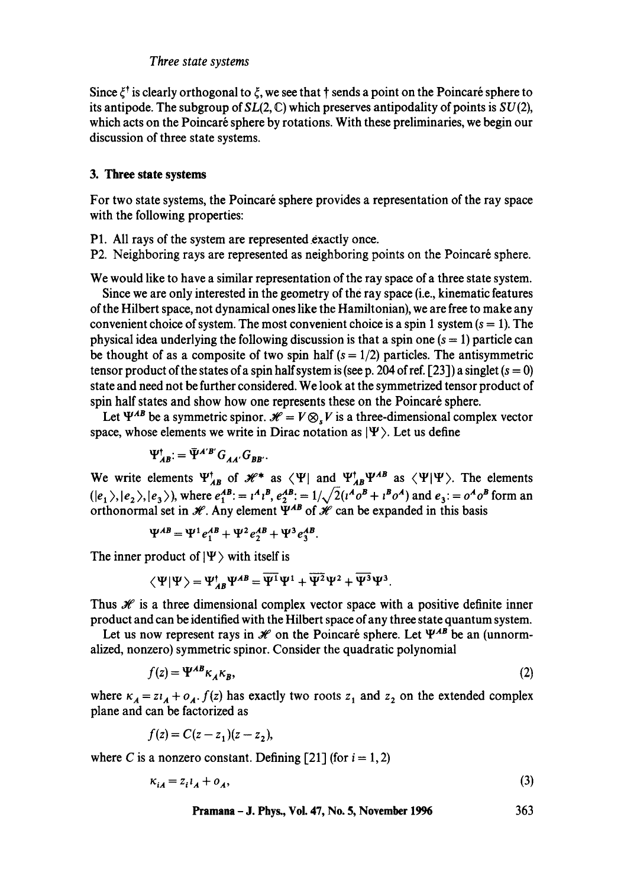Since  $\xi^{\dagger}$  is clearly orthogonal to  $\xi$ , we see that  $\dagger$  sends a point on the Poincaré sphere to its antipode. The subgroup of  $SL(2, \mathbb{C})$  which preserves antipodality of points is  $SU(2)$ , which acts on the Poincaré sphere by rotations. With these preliminaries, we begin our discussion of three state systems.

## **3. Three state systems**

For two state systems, the Poincaré sphere provides a representation of the ray space with the following properties:

- P1. All rays of the system are represented exactly once.
- P2. Neighboring rays are represented as neighboring points on the Poincaré sphere.

We would like to have a similar representation of the ray space of a three state system.

Since we are only interested in the geometry of the ray space (i.e., kinematic features of the Hilbert space, not dynamical ones like the Hamiltonian), we are free to make any convenient choice of system. The most convenient choice is a spin 1 system  $(s = 1)$ . The physical idea underlying the following discussion is that a spin one  $(s = 1)$  particle can be thought of as a composite of two spin half  $(s = 1/2)$  particles. The antisymmetric tensor product of the states of a spin half system is (see p. 204 of ref. [23]) a singlet ( $s = 0$ ) state and need not be further considered. We look at the symmetrized tensor product of spin half states and show how one represents these on the Poincaré sphere.

Let  $\Psi^{AB}$  be a symmetric spinor.  $\mathcal{H} = V \otimes V$  is a three-dimensional complex vector space, whose elements we write in Dirac notation as  $|\Psi\rangle$ . Let us define

$$
\Psi_{AB}^{\dagger} = \bar{\Psi}^{A'B'} G_{AA'} G_{BB'}.
$$

We write elements  $\Psi_{AB}^{\dagger}$  of  $\mathcal{H}^*$  as  $\langle \Psi |$  and  $\Psi_{AB}^{\dagger} \Psi^{AB}$  as  $\langle \Psi | \Psi \rangle$ . The elements  $(|e_1\rangle, |e_2\rangle, |e_3\rangle)$ , where  $e_1^{AB} = i^A i^B$ ,  $e_2^{AB} = 1/\sqrt{2}(i^A o^B + i^B o^A)$  and  $e_3 = o^A o^B$  form an orthonormal set in  $\mathcal{H}$ . Any element  $\Psi^{AB}$  of  $\mathcal{H}$  can be expanded in this basis

$$
\Psi^{AB} = \Psi^1 e_1^{AB} + \Psi^2 e_2^{AB} + \Psi^3 e_3^{AB}.
$$

The inner product of  $|\Psi\rangle$  with itself is

$$
\langle \Psi | \Psi \rangle = \Psi_{AB}^{\dagger} \Psi^{AB} = \overline{\Psi^1} \Psi^1 + \overline{\Psi^2} \Psi^2 + \overline{\Psi^3} \Psi^3.
$$

Thus  $\mathcal X$  is a three dimensional complex vector space with a positive definite inner product and can be identified with the Hilbert space of any three state quantum system.

Let us now represent rays in  $\mathcal{H}$  on the Poincaré sphere. Let  $\Psi^{AB}$  be an (unnormalized, nonzero) symmetric spinor. Consider the quadratic polynomial

$$
f(z) = \Psi^{AB} \kappa_A \kappa_B,\tag{2}
$$

where  $\kappa_A = z i_A + o_A$ .  $f(z)$  has exactly two roots  $z_1$  and  $z_2$  on the extended complex plane and can be factorized as

$$
f(z) = C(z - z1)(z - z2),
$$

where C is a nonzero constant. Defining [21] (for  $i = 1, 2$ )

$$
\kappa_{iA} = z_i l_A + o_A,\tag{3}
$$

**Pramana - J. Phys., Vol. 47, No. 5, November 1996 363**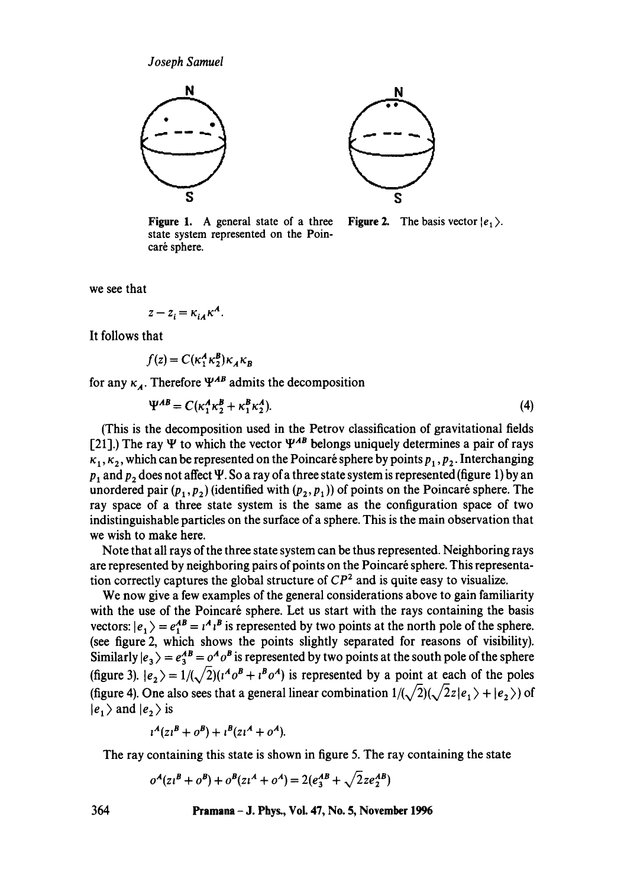

**Figure** 1. A general state of a three state system represented on the Poincaré sphere.



**Figure 2.** The basis vector  $|e_1\rangle$ .

we see that

$$
z - z_i = \kappa_{iA} \kappa^A.
$$

It follows that

$$
f(z) = C(\kappa_1^A \kappa_2^B) \kappa_A \kappa_B
$$

for any  $\kappa_A$ . Therefore  $\Psi^{AB}$  admits the decomposition

$$
\Psi^{AB} = C(\kappa_1^A \kappa_2^B + \kappa_1^B \kappa_2^A). \tag{4}
$$

(This is the decomposition used in the Petrov classification of gravitational fields [21].) The ray  $\Psi$  to which the vector  $\Psi^{AB}$  belongs uniquely determines a pair of rays  $\kappa_1, \kappa_2$ , which can be represented on the Poincaré sphere by points  $p_1, p_2$ . Interchanging  $p_1$  and  $p_2$  does not affect  $\Psi$ . So a ray of a three state system is represented (figure 1) by an unordered pair  $(p_1, p_2)$  (identified with  $(p_2, p_1)$ ) of points on the Poincaré sphere. The ray space of a three state system is the same as the configuration space of two indistinguishable particles on the surface of a sphere. This is the main observation that we wish to make here.

Note that all rays of the three state system can be thus represented. Neighboring rays are represented by neighboring pairs of points on the Poincaré sphere. This representation correctly captures the global structure of *CP 2* and is quite easy to visualize.

We now give a few examples of the general considerations above to gain familiarity with the use of the Poincaré sphere. Let us start with the rays containing the basis vectors:  $|e_1\rangle = e_1^{AB} = i^A i^B$  is represented by two points at the north pole of the sphere. (see figure 2, which shows the points slightly separated for reasons of visibility). Similarly  $|e_3\rangle = e_3^{AB} = o^A o^B$  is represented by two points at the south pole of the sphere (figure 3).  $|e_2\rangle = 1/(\sqrt{2})(t^4\sigma^B + t^B\sigma^A)$  is represented by a point at each of the poles (figure 4). One also sees that a general linear combination  $1/(\sqrt{2})(\sqrt{2}z|e_1\rangle + |e_2\rangle)$  of  $|e_1\rangle$  and  $|e_2\rangle$  is

$$
l^A(zl^B + o^B) + l^B(zl^A + o^A).
$$

The ray containing this state is shown in figure 5. The ray containing the state

$$
o^{A}(z^{B} + o^{B}) + o^{B}(z^{A} + o^{A}) = 2(e^{AB}_{3} + \sqrt{2}ze^{AB}_{2})
$$

**364 Pramana - J. Phys., Vol. 47, No. 5, November 1996**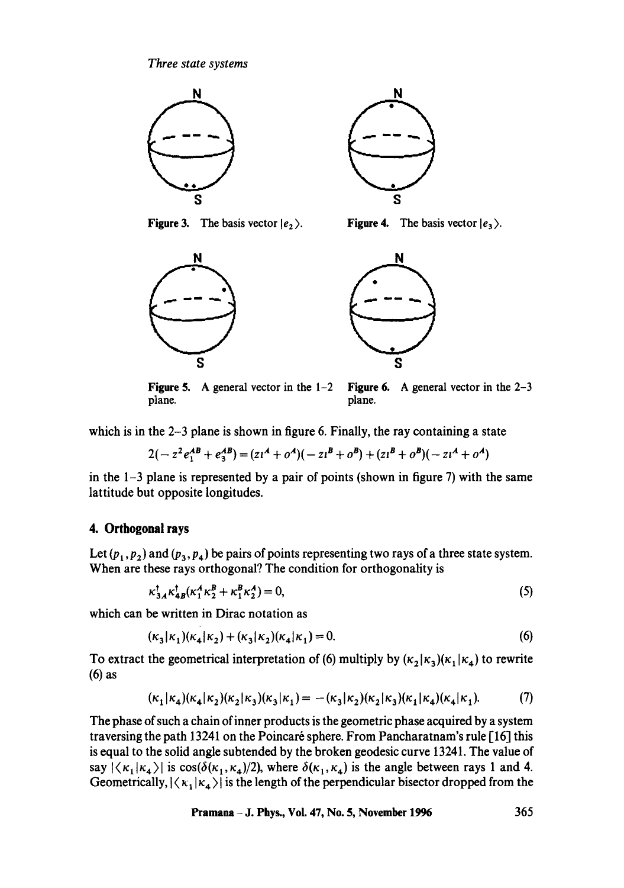

**Figure 3.** The basis vector  $|e_2\rangle$ . **Figure 4.** The basis vector  $|e_3\rangle$ .





**Figure** 5. A general vector in the 1-2 Figure 6. A general vector in the 2-3 plane. **plane**, **plane**, **plane**, **plane**,

which is in the 2-3 plane is shown in figure 6. Finally, the ray containing a state

$$
2(-z2e1AB + e3AB) = (z1A + oA)(-z1B + oB) + (z1B + oB)(-z1A + oA)
$$

in the  $1-3$  plane is represented by a pair of points (shown in figure 7) with the same lattitude but opposite longitudes.

## **4. Orthogonal rays**

Let  $(p_1, p_2)$  and  $(p_3, p_4)$  be pairs of points representing two rays of a three state system. When are these rays orthogonal? The condition for orthogonality is

$$
\kappa_{3A}^{\dagger}\kappa_{4B}^{\dagger}(\kappa_1^A\kappa_2^B+\kappa_1^B\kappa_2^A)=0,
$$
\n(5)

which can be written in Dirac notation as

$$
(\kappa_3|\kappa_1)(\kappa_4|\kappa_2) + (\kappa_3|\kappa_2)(\kappa_4|\kappa_1) = 0.
$$
 (6)

To extract the geometrical interpretation of (6) multiply by  $(\kappa_2|\kappa_3)(\kappa_1|\kappa_4)$  to rewrite **(6)** as

$$
(\kappa_1|\kappa_4)(\kappa_4|\kappa_2)(\kappa_2|\kappa_3)(\kappa_3|\kappa_1) = -(\kappa_3|\kappa_2)(\kappa_2|\kappa_3)(\kappa_1|\kappa_4)(\kappa_4|\kappa_1). \tag{7}
$$

The phase of such a chain of inner products is the geometric phase acquired by a system traversing the path 13241 on the Poincaré sphere. From Pancharatnam's rule [16] this is equal to the solid angle subtended by the broken geodesic curve 1324 I. The value of say  $|\langle\kappa_1|\kappa_4\rangle|$  is  $\cos(\delta(\kappa_1,\kappa_4)/2)$ , where  $\delta(\kappa_1,\kappa_4)$  is the angle between rays 1 and 4. Geometrically,  $|\langle \kappa_1 | \kappa_4 \rangle|$  is the length of the perpendicular bisector dropped from the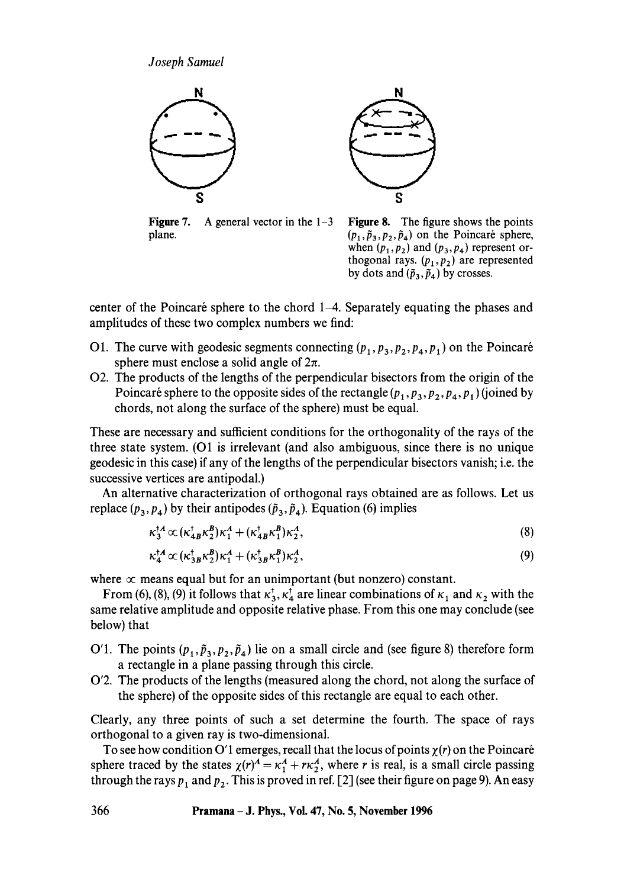*Joseph Samuel* 



**Figure 7.** A general vector in the  $1-3$ plane.



Figure 8. The figure shows the points  $(p_1, \tilde{p}_3, p_2, \tilde{p}_4)$  on the Poincaré sphere, when  $(p_1, p_2)$  and  $(p_3, p_4)$  represent orthogonal rays.  $(p_1, p_2)$  are represented by dots and  $(\tilde{p}_3, \tilde{p}_4)$  by crosses.

center of the Poincaré sphere to the chord  $1-4$ . Separately equating the phases and amplitudes of these two complex numbers we find:

- O1. The curve with geodesic segments connecting  $(p_1, p_3, p_2, p_4, p_1)$  on the Poincaré sphere must enclose a solid angle of  $2\pi$ .
- 02. The products of the lengths of the perpendicular bisectors from the origin of the Poincaré sphere to the opposite sides of the rectangle  $(p_1, p_3, p_2, p_4, p_1)$  (joined by chords, not along the surface of the sphere) must be equal.

These are necessary and sufficient conditions for the orthogonality of the rays of the three state system. (O1 is irrelevant (and also ambiguous, since there is no unique geodesic in this case) if any of the lengths of the perpendicular bisectors vanish; i.e. the successive vertices are antipodal.)

An alternative characterization of orthogonal rays obtained are as follows. Let us replace  $(p_3, p_4)$  by their antipodes  $(\tilde{p}_3, \tilde{p}_4)$ . Equation (6) implies

$$
\kappa_3^{\dagger A} \propto (\kappa_{AB}^{\dagger} \kappa_2^B) \kappa_1^A + (\kappa_{AB}^{\dagger} \kappa_1^B) \kappa_2^A, \tag{8}
$$

$$
\kappa_4^{\dagger A} \propto (\kappa_{3B}^{\dagger} \kappa_2^B) \kappa_1^A + (\kappa_{3B}^{\dagger} \kappa_1^B) \kappa_2^A, \tag{9}
$$

where  $\infty$  means equal but for an unimportant (but nonzero) constant.

From (6), (8), (9) it follows that  $\kappa_3^*$ ,  $\kappa_4^*$  are linear combinations of  $\kappa_1$  and  $\kappa_2$  with the same relative amplitude and opposite relative phase. From this one may conclude (see below) that

- O'1. The points  $(p_1, \tilde{p}_3, p_2, \tilde{p}_4)$  lie on a small circle and (see figure 8) therefore form a rectangle in a plane passing through this circle.
- 0'2. The products of the lengths (measured along the chord, not along the surface of the sphere) of the opposite sides of this rectangle are equal to each other.

Clearly, any three points of such a set determine the fourth. The space of rays orthogonal to a given ray is two-dimensional.

To see how condition O'1 emerges, recall that the locus of points  $\chi(r)$  on the Poincaré sphere traced by the states  $\chi(r)^A = \kappa_1^A + r\kappa_2^A$ , where r is real, is a small circle passing through the rays  $p_1$  and  $p_2$ . This is proved in ref. [2] (see their figure on page 9). An easy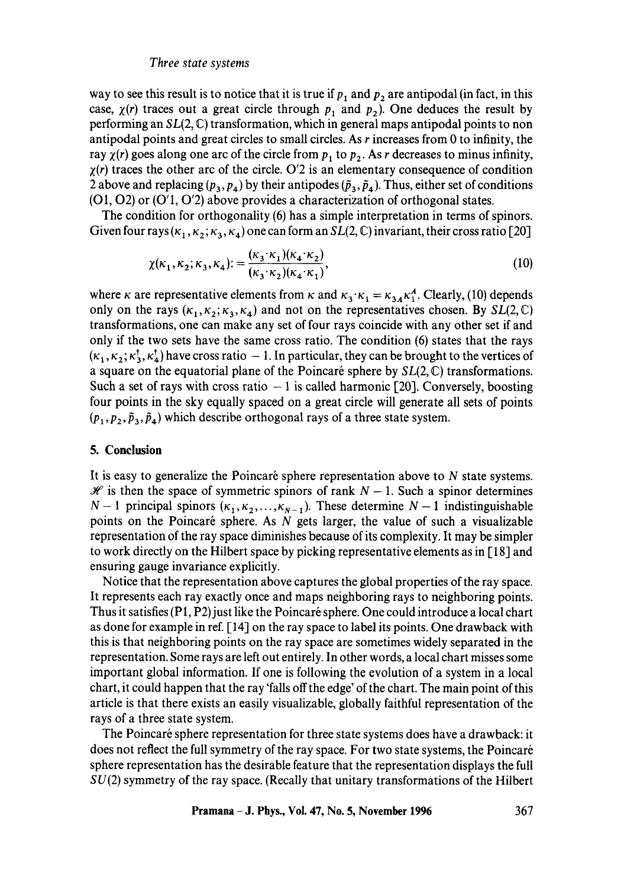way to see this result is to notice that it is true if  $p_1$  and  $p_2$  are antipodal (in fact, in this case,  $\chi(r)$  traces out a great circle through  $p_1$  and  $p_2$ ). One deduces the result by performing an *SL(2,* C) transformation, which in general maps antipodal points to non antipodal points and great circles to small circles. As  $r$  increases from 0 to infinity, the ray  $\chi(r)$  goes along one arc of the circle from  $p_1$  to  $p_2$ . As r decreases to minus infinity,  $\chi(r)$  traces the other arc of the circle. O'2 is an elementary consequence of condition 2 above and replacing  $(p_3, p_4)$  by their antipodes  $(\tilde{p}_3, \tilde{p}_4)$ . Thus, either set of conditions (O1, 02) or (O'1, 0'2) above provides a characterization of orthogonal states.

The condition for orthogonality (6) has a simple interpretation in terms of spinors. Given four rays  $(\kappa_1, \kappa_2; \kappa_3, \kappa_4)$  one can form an *SL(2, C)* invariant, their cross ratio [20]

$$
\chi(\kappa_1, \kappa_2; \kappa_3, \kappa_4) := \frac{(\kappa_3 \cdot \kappa_1)(\kappa_4 \cdot \kappa_2)}{(\kappa_3 \cdot \kappa_2)(\kappa_4 \cdot \kappa_1)},
$$
\n(10)

where *k* are representative elements from  $\kappa$  and  $\kappa_3 \cdot \kappa_1 = \kappa_{3A} \kappa_1^A$ . Clearly, (10) depends only on the rays  $(\kappa_1,\kappa_2;\kappa_3,\kappa_4)$  and not on the representatives chosen. By SL(2, C) transformations, one can make any set of four rays coincide with any other set if and only if the two sets have the same cross ratio. The condition (6) states that the rays  $(\kappa_1, \kappa_2; \kappa_3^{\dagger}, \kappa_4^{\dagger})$  have cross ratio  $-1$ . In particular, they can be brought to the vertices of a square on the equatorial plane of the Poincaré sphere by  $SL(2,\mathbb{C})$  transformations. Such a set of rays with cross ratio  $-1$  is called harmonic [20]. Conversely, boosting four points in the sky equally spaced on a great circle will generate all sets of points  $(p_1, p_2, \tilde{p}_3, \tilde{p}_4)$  which describe orthogonal rays of a three state system.

#### **5. Conclusion**

It is easy to generalize the Poincaré sphere representation above to  $N$  state systems.  $\mathcal X$  is then the space of symmetric spinors of rank  $N - 1$ . Such a spinor determines  $N-1$  principal spinors  $(\kappa_1, \kappa_2, ..., \kappa_{N-1})$ . These determine  $N-1$  indistinguishable points on the Poincaré sphere. As  $N$  gets larger, the value of such a visualizable representation of the ray space diminishes because of its complexity. It may be simpler to work directly on the Hilbert space by picking representative elements as in [18] and ensuring gauge invariance explicitly.

Notice that the representation above captures the global properties of the ray space. It represents each ray exactly once and maps neighboring rays to neighboring points. Thus it satisfies  $(P1, P2)$  just like the Poincaré sphere. One could introduce a local chart as done for example in ref. [14] on the ray space to label its points. One drawback with this is that neighboring points on the ray space are sometimes widely separated in the representation. Some rays are left out entirely. In other words, a local chart misses some important global information. If one is following the evolution of a system in a local chart, it could happen that the ray 'falls off the edge' of the chart. The main point of this article is that there exists an easily visualizable, globally faithful representation of the rays of a three state system.

The Poincaré sphere representation for three state systems does have a drawback: it does not reflect the full symmetry of the ray space. For two state systems, the Poincar6 sphere representation has the desirable feature that the representation displays the full SU(2) symmetry of the ray space. (Recally that unitary transformations of the Hilbert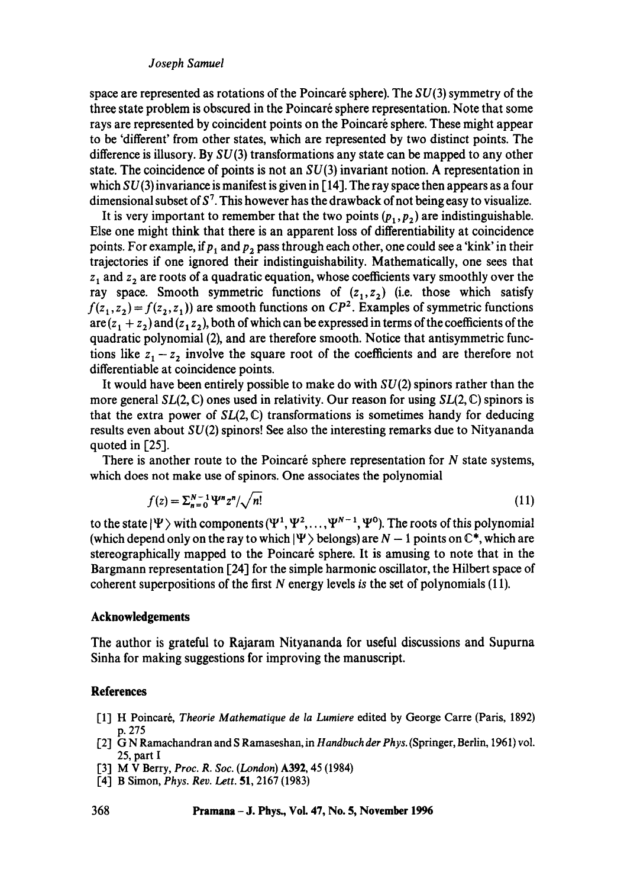#### *Joseph Samuel*

space are represented as rotations of the Poincaré sphere). The  $SU(3)$  symmetry of the three state problem is obscured in the Poincaré sphere representation. Note that some rays are represented by coincident points on the Poincaré sphere. These might appear to be 'different' from other states, which are represented by two distinct points. The difference is illusory. By  $SU(3)$  transformations any state can be mapped to any other state. The coincidence of points is not an  $SU(3)$  invariant notion. A representation in which  $SU(3)$  invariance is manifest is given in [14]. The ray space then appears as a four dimensional subset of  $S^7$ . This however has the drawback of not being easy to visualize.

It is very important to remember that the two points  $(p_1, p_2)$  are indistinguishable. Else one might think that there is an apparent loss of differentiability at coincidence points. For example, if  $p_1$  and  $p_2$  pass through each other, one could see a 'kink' in their trajectories if one ignored their indistinguishability. Mathematically, one sees that  $z_1$  and  $z_2$  are roots of a quadratic equation, whose coefficients vary smoothly over the ray space. Smooth symmetric functions of  $(z_1, z_2)$  (i.e. those which satisfy  $f(z_1, z_2) = f(z_2, z_1)$  are smooth functions on  $\mathbb{CP}^2$ . Examples of symmetric functions are  $(z_1 + z_2)$  and  $(z_1 z_2)$ , both of which can be expressed in terms of the coefficients of the quadratic polynomial (2), and are therefore smooth. Notice that antisymmetric functions like  $z_1 - z_2$  involve the square root of the coefficients and are therefore not differentiable at coincidence points.

It would have been entirely possible to make do with  $SU(2)$  spinors rather than the more general *SL(2,* C) ones used in relativity. Our reason for using *SL(2,* C) spinors is that the extra power of  $SL(2, \mathbb{C})$  transformations is sometimes handy for deducing results even about  $SU(2)$  spinors! See also the interesting remarks due to Nityananda quoted in [25].

There is another route to the Poincaré sphere representation for  $N$  state systems, which does not make use of spinors. One associates the polynomial

$$
f(z) = \sum_{n=0}^{N-1} \Psi^n z^n / \sqrt{n!} \tag{11}
$$

to the state  $|\Psi\rangle$  with components  $(\Psi^1, \Psi^2, \dots, \Psi^{N-1}, \Psi^0)$ . The roots of this polynomial (which depend only on the ray to which  $|\Psi\rangle$  belongs) are N - 1 points on  $\mathbb{C}^*$ , which are stereographically mapped to the Poincaré sphere. It is amusing to note that in the Bargmann representation [24] for the simple harmonic oscillator, the Hilbert space of coherent superpositions of the first N energy levels is the set of polynomials (11).

### **Acknowledgements**

The author is grateful to Rajaram Nityananda for useful discussions and Supurna Sinha for making suggestions for improving the manuscript.

#### **References**

- [1] H Poincar6, *Theorie Mathematique de la Lumiere* edited by George Carre (Paris, 1892) p. 275
- [2] G N Ramachandran and S Ramaseshan, in Handbuch der Phys. (Springer, Berlin, 1961) vol. 25, part I
- [3] M V Berry, *Proc. R. Soc. (London)* A392, 45 (1984)
- [4] B Simon, *Phys. Rev. Lett.* 51, 2167 (1983)